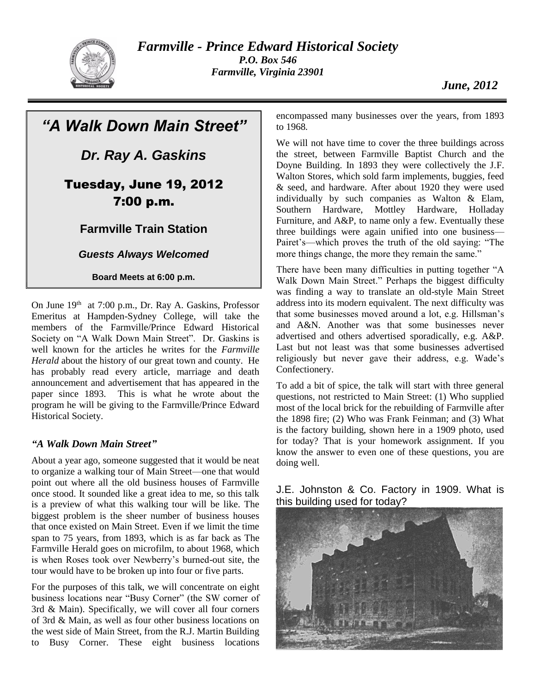

*Farmville - Prince Edward Historical Society P.O. Box 546 Farmville, Virginia 23901*

# *"A Walk Down Main Street"*

*Dr. Ray A. Gaskins*

## Tuesday, June 19, 2012 7:00 p.m.

### **Farmville Train Station**

#### *Guests Always Welcomed*

#### **Board Meets at 6:00 p.m.**

On June 19th at 7:00 p.m., Dr. Ray A. Gaskins, Professor Emeritus at Hampden-Sydney College, will take the members of the Farmville/Prince Edward Historical Society on "A Walk Down Main Street". Dr. Gaskins is well known for the articles he writes for the *Farmville Herald* about the history of our great town and county. He has probably read every article, marriage and death announcement and advertisement that has appeared in the paper since 1893. This is what he wrote about the program he will be giving to the Farmville/Prince Edward Historical Society.

#### *"A Walk Down Main Street"*

About a year ago, someone suggested that it would be neat to organize a walking tour of Main Street—one that would point out where all the old business houses of Farmville once stood. It sounded like a great idea to me, so this talk is a preview of what this walking tour will be like. The biggest problem is the sheer number of business houses that once existed on Main Street. Even if we limit the time span to 75 years, from 1893, which is as far back as The Farmville Herald goes on microfilm, to about 1968, which is when Roses took over Newberry's burned-out site, the tour would have to be broken up into four or five parts.

For the purposes of this talk, we will concentrate on eight business locations near "Busy Corner" (the SW corner of 3rd & Main). Specifically, we will cover all four corners of 3rd & Main, as well as four other business locations on the west side of Main Street, from the R.J. Martin Building to Busy Corner. These eight business locations

encompassed many businesses over the years, from 1893 to 1968.

We will not have time to cover the three buildings across the street, between Farmville Baptist Church and the Doyne Building. In 1893 they were collectively the J.F. Walton Stores, which sold farm implements, buggies, feed & seed, and hardware. After about 1920 they were used individually by such companies as Walton & Elam, Southern Hardware, Mottley Hardware, Holladay Furniture, and A&P, to name only a few. Eventually these three buildings were again unified into one business— Pairet's—which proves the truth of the old saying: "The more things change, the more they remain the same."

There have been many difficulties in putting together "A Walk Down Main Street." Perhaps the biggest difficulty was finding a way to translate an old-style Main Street address into its modern equivalent. The next difficulty was that some businesses moved around a lot, e.g. Hillsman's and A&N. Another was that some businesses never advertised and others advertised sporadically, e.g. A&P. Last but not least was that some businesses advertised religiously but never gave their address, e.g. Wade's Confectionery.

To add a bit of spice, the talk will start with three general questions, not restricted to Main Street: (1) Who supplied most of the local brick for the rebuilding of Farmville after the 1898 fire; (2) Who was Frank Feinman; and (3) What is the factory building, shown here in a 1909 photo, used for today? That is your homework assignment. If you know the answer to even one of these questions, you are doing well.

J.E. Johnston & Co. Factory in 1909. What is this building used for today?